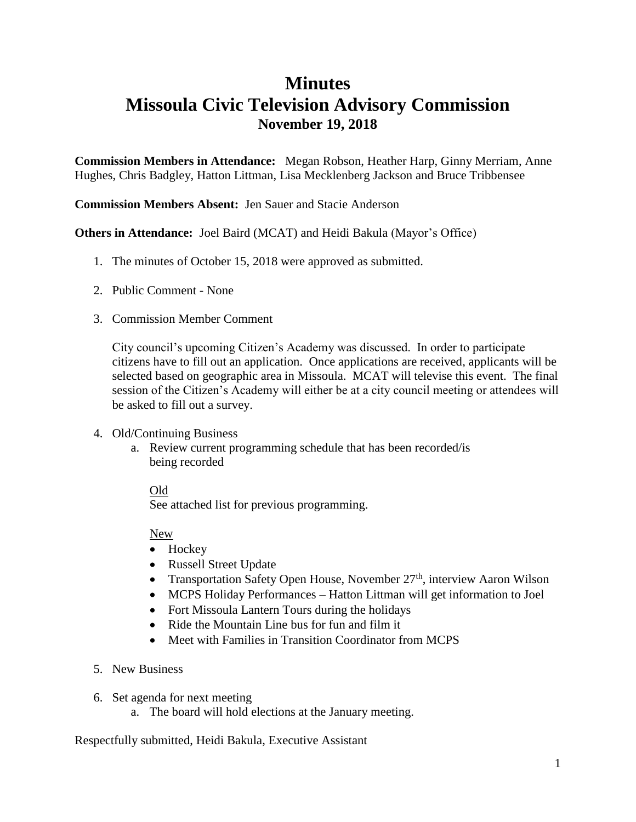### **Minutes**

## **Missoula Civic Television Advisory Commission November 19, 2018**

**Commission Members in Attendance:** Megan Robson, Heather Harp, Ginny Merriam, Anne Hughes, Chris Badgley, Hatton Littman, Lisa Mecklenberg Jackson and Bruce Tribbensee

#### **Commission Members Absent:** Jen Sauer and Stacie Anderson

**Others in Attendance:** Joel Baird (MCAT) and Heidi Bakula (Mayor's Office)

- 1. The minutes of October 15, 2018 were approved as submitted.
- 2. Public Comment None
- 3. Commission Member Comment

City council's upcoming Citizen's Academy was discussed. In order to participate citizens have to fill out an application. Once applications are received, applicants will be selected based on geographic area in Missoula. MCAT will televise this event. The final session of the Citizen's Academy will either be at a city council meeting or attendees will be asked to fill out a survey.

- 4. Old/Continuing Business
	- a. Review current programming schedule that has been recorded/is being recorded

#### Old

See attached list for previous programming.

New

- Hockey
- Russell Street Update
- Transportation Safety Open House, November  $27<sup>th</sup>$ , interview Aaron Wilson
- MCPS Holiday Performances Hatton Littman will get information to Joel
- Fort Missoula Lantern Tours during the holidays
- Ride the Mountain Line bus for fun and film it
- Meet with Families in Transition Coordinator from MCPS
- 5. New Business
- 6. Set agenda for next meeting
	- a. The board will hold elections at the January meeting.

Respectfully submitted, Heidi Bakula, Executive Assistant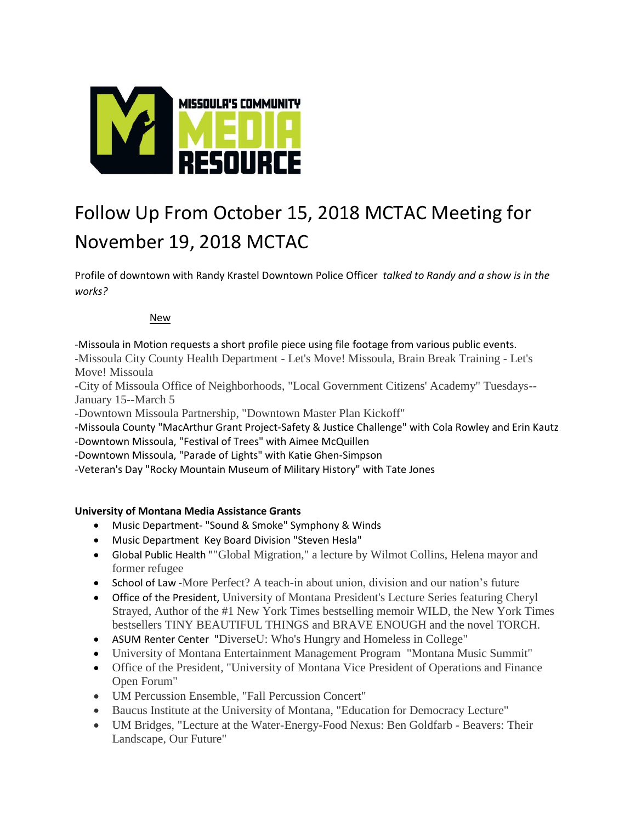

# Follow Up From October 15, 2018 MCTAC Meeting for November 19, 2018 MCTAC

Profile of downtown with Randy Krastel Downtown Police Officer *talked to Randy and a show is in the works?* 

#### New

-Missoula in Motion requests a short profile piece using file footage from various public events. -Missoula City County Health Department - Let's Move! Missoula, Brain Break Training - Let's Move! Missoula

-City of Missoula Office of Neighborhoods, "Local Government Citizens' Academy" Tuesdays-- January 15--March 5

-Downtown Missoula Partnership, "Downtown Master Plan Kickoff"

-Missoula County "MacArthur Grant Project-Safety & Justice Challenge" with Cola Rowley and Erin Kautz -Downtown Missoula, "Festival of Trees" with Aimee McQuillen

-Downtown Missoula, "Parade of Lights" with Katie Ghen-Simpson

-Veteran's Day "Rocky Mountain Museum of Military History" with Tate Jones

#### **University of Montana Media Assistance Grants**

- Music Department- "Sound & Smoke" Symphony & Winds
- Music Department Key Board Division "Steven Hesla"
- Global Public Health ""Global Migration," a lecture by Wilmot Collins, Helena mayor and former refugee
- School of Law -More Perfect? A teach-in about union, division and our nation's future
- Office of the President, University of Montana President's Lecture Series featuring Cheryl Strayed, Author of the #1 New York Times bestselling memoir WILD, the New York Times bestsellers TINY BEAUTIFUL THINGS and BRAVE ENOUGH and the novel TORCH.
- ASUM Renter Center "DiverseU: Who's Hungry and Homeless in College"
- University of Montana Entertainment Management Program "Montana Music Summit"
- Office of the President, "University of Montana Vice President of Operations and Finance Open Forum"
- UM Percussion Ensemble, "Fall Percussion Concert"
- Baucus Institute at the University of Montana, "Education for Democracy Lecture"
- UM Bridges, "Lecture at the Water-Energy-Food Nexus: Ben Goldfarb Beavers: Their Landscape, Our Future"